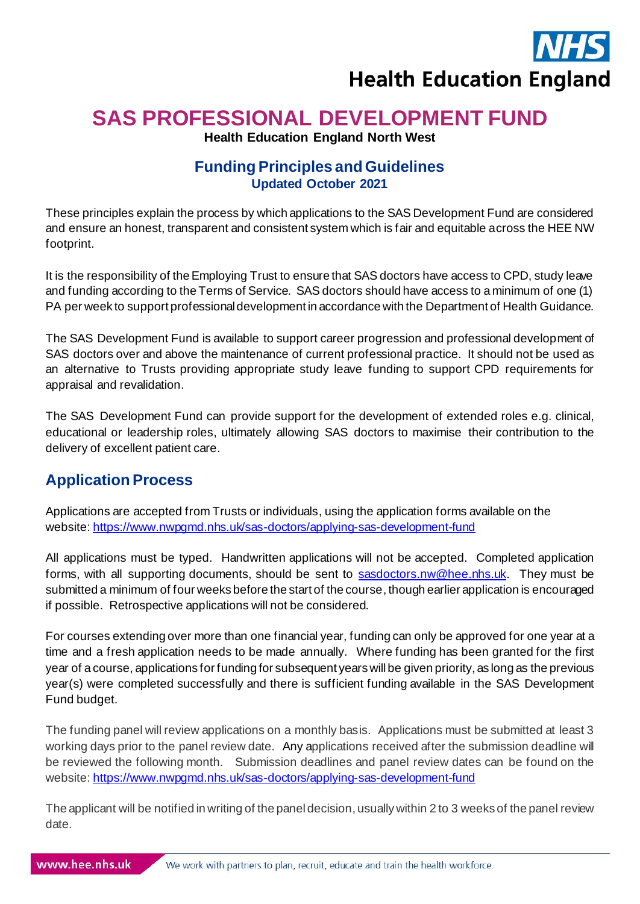

# **SAS PROFESSIONAL DEVELOPMENT FUND**

**Health Education England North West**

# **Funding Principles and Guidelines Updated October 2021**

These principles explain the process by which applications to the SAS Development Fund are considered and ensure an honest, transparent and consistent system which is fair and equitable across the HEE NW footprint.

It is the responsibility of the Employing Trust to ensure that SAS doctors have access to CPD, study leave and funding according to the Terms of Service. SAS doctors should have access to a minimum of one (1) PA per week to support professional development in accordance with the Department of Health Guidance.

The SAS Development Fund is available to support career progression and professional development of SAS doctors over and above the maintenance of current professional practice. It should not be used as an alternative to Trusts providing appropriate study leave funding to support CPD requirements for appraisal and revalidation.

The SAS Development Fund can provide support for the development of extended roles e.g. clinical, educational or leadership roles, ultimately allowing SAS doctors to maximise their contribution to the delivery of excellent patient care.

# **Application Process**

Applications are accepted from Trusts or individuals, using the application forms available on the website[: https://www.nwpgmd.nhs.uk/sas-doctors/applying-sas-development-fund](https://www.nwpgmd.nhs.uk/sas-doctors/applying-sas-development-fund)

All applications must be typed. Handwritten applications will not be accepted. Completed application forms, with all supporting documents, should be sent to [sasdoctors.nw@hee.nhs.uk](mailto:sasdoctors.nw@hee.nhs.uk). They must be submitted a minimum of four weeks before the start of the course, though earlier application is encouraged if possible. Retrospective applications will not be considered.

For courses extending over more than one financial year, funding can only be approved for one year at a time and a fresh application needs to be made annually. Where funding has been granted for the first year of a course, applications for funding for subsequent years will be given priority, as long as the previous year(s) were completed successfully and there is sufficient funding available in the SAS Development Fund budget.

The funding panel will review applications on a monthly basis. Applications must be submitted at least 3 working days prior to the panel review date. Any applications received after the submission deadline will be reviewed the following month. Submission deadlines and panel review dates can be found on the website: <https://www.nwpgmd.nhs.uk/sas-doctors/applying-sas-development-fund>

The applicant will be notified in writing of the panel decision, usually within 2 to 3 weeks of the panel review date.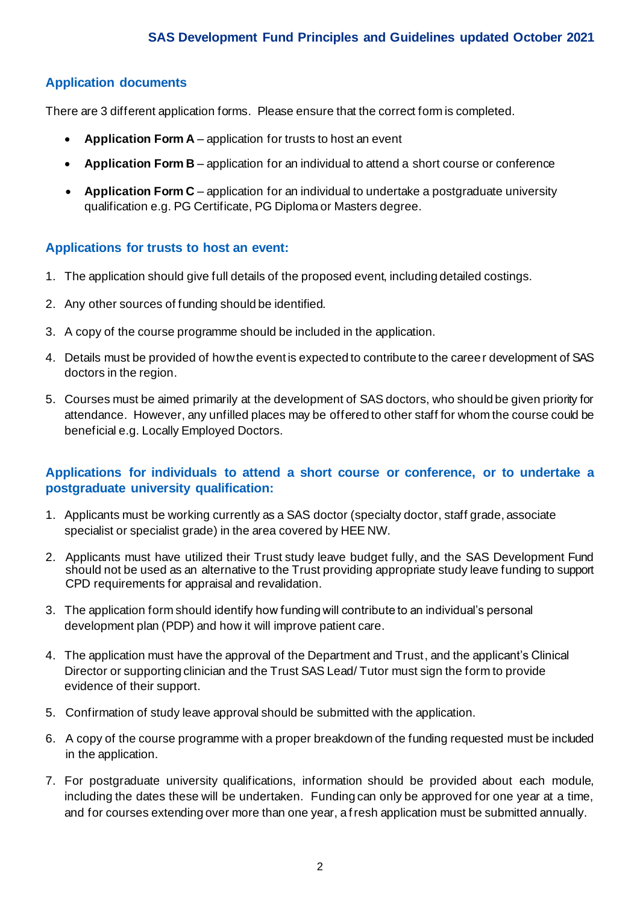### **Application documents**

There are 3 different application forms. Please ensure that the correct form is completed.

- **Application Form A** application for trusts to host an event
- **Application Form B** application for an individual to attend a short course or conference
- **Application Form C** application for an individual to undertake a postgraduate university qualification e.g. PG Certificate, PG Diploma or Masters degree.

#### **Applications for trusts to host an event:**

- 1. The application should give full details of the proposed event, including detailed costings.
- 2. Any other sources of funding should be identified.
- 3. A copy of the course programme should be included in the application.
- 4. Details must be provided of how the event is expected to contribute to the career development of SAS doctors in the region.
- 5. Courses must be aimed primarily at the development of SAS doctors, who should be given priority for attendance. However, any unfilled places may be offered to other staff for whom the course could be beneficial e.g. Locally Employed Doctors.

#### **Applications for individuals to attend a short course or conference, or to undertake a postgraduate university qualification:**

- 1. Applicants must be working currently as a SAS doctor (specialty doctor, staff grade, associate specialist or specialist grade) in the area covered by HEE NW.
- 2. Applicants must have utilized their Trust study leave budget fully, and the SAS Development Fund should not be used as an alternative to the Trust providing appropriate study leave funding to support CPD requirements for appraisal and revalidation.
- 3. The application form should identify how funding will contribute to an individual's personal development plan (PDP) and how it will improve patient care.
- 4. The application must have the approval of the Department and Trust, and the applicant's Clinical Director or supporting clinician and the Trust SAS Lead/ Tutor must sign the form to provide evidence of their support.
- 5. Confirmation of study leave approval should be submitted with the application.
- 6. A copy of the course programme with a proper breakdown of the funding requested must be included in the application.
- 7. For postgraduate university qualifications, information should be provided about each module, including the dates these will be undertaken. Funding can only be approved for one year at a time, and for courses extending over more than one year, a fresh application must be submitted annually.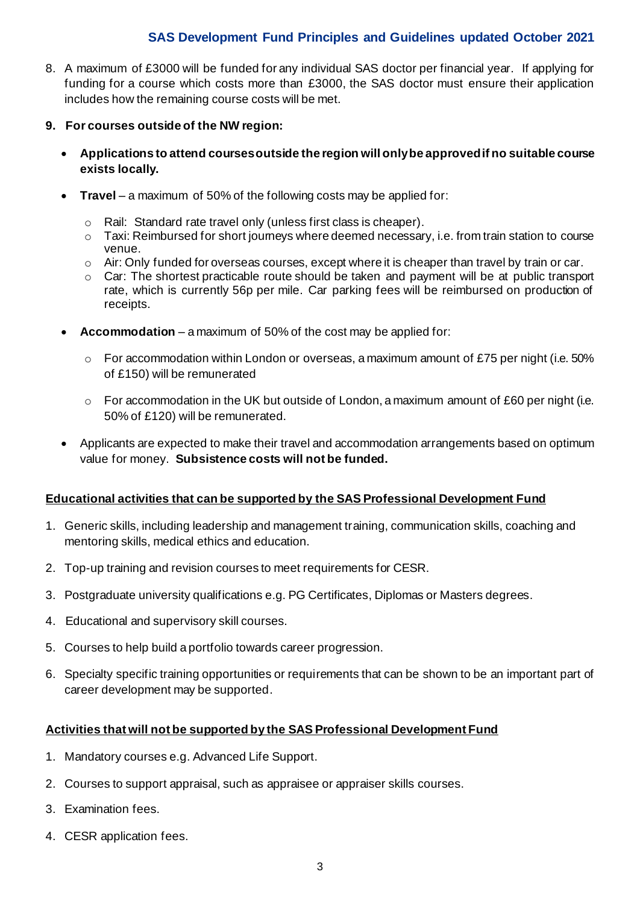## **SAS Development Fund Principles and Guidelines updated October 2021**

- 8. A maximum of £3000 will be funded for any individual SAS doctor per financial year. If applying for funding for a course which costs more than £3000, the SAS doctor must ensure their application includes how the remaining course costs will be met.
- **9. For courses outside of the NW region:**
	- **Applications to attend courses outside the region will onlybe approved if no suitable course exists locally.**
	- **Travel** a maximum of 50% of the following costs may be applied for:
		- o Rail: Standard rate travel only (unless first class is cheaper).
		- o Taxi: Reimbursed for short journeys where deemed necessary, i.e. from train station to course venue.
		- $\circ$  Air: Only funded for overseas courses, except where it is cheaper than travel by train or car.
		- o Car: The shortest practicable route should be taken and payment will be at public transport rate, which is currently 56p per mile. Car parking fees will be reimbursed on production of receipts.
	- Accommodation a maximum of 50% of the cost may be applied for:
		- $\circ$  For accommodation within London or overseas, a maximum amount of £75 per night (i.e. 50%) of £150) will be remunerated
		- $\circ$  For accommodation in the UK but outside of London, a maximum amount of £60 per night (i.e. 50% of £120) will be remunerated.
	- Applicants are expected to make their travel and accommodation arrangements based on optimum value for money. **Subsistence costs will not be funded.**

#### **Educational activities that can be supported by the SAS Professional Development Fund**

- 1. Generic skills, including leadership and management training, communication skills, coaching and mentoring skills, medical ethics and education.
- 2. Top-up training and revision courses to meet requirements for CESR.
- 3. Postgraduate university qualifications e.g. PG Certificates, Diplomas or Masters degrees.
- 4. Educational and supervisory skill courses.
- 5. Courses to help build a portfolio towards career progression.
- 6. Specialty specific training opportunities or requirements that can be shown to be an important part of career development may be supported.

#### **Activities that will not be supported by the SAS Professional Development Fund**

- 1. Mandatory courses e.g. Advanced Life Support.
- 2. Courses to support appraisal, such as appraisee or appraiser skills courses.
- 3. Examination fees.
- 4. CESR application fees.